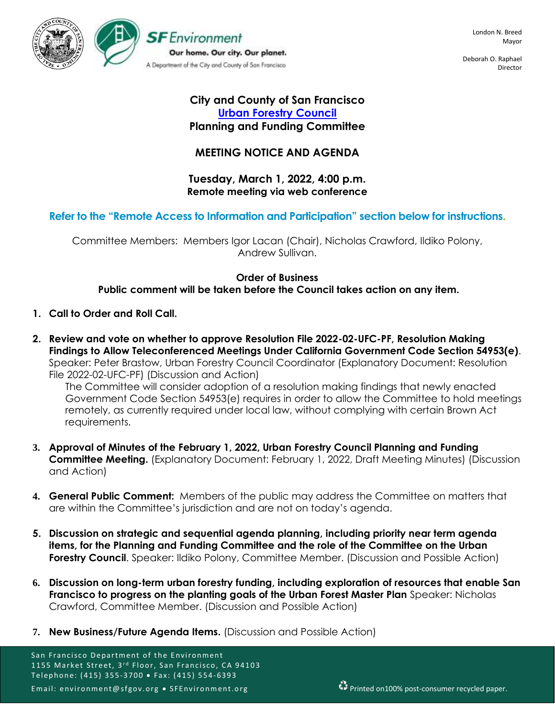

Deborah O. Raphael Director

## **City and County of San Francisco [Urban Forestry Council](https://sfenvironment.org/about/taskforce/urban-forestry-council) Planning and Funding Committee**

# **MEETING NOTICE AND AGENDA**

### **Tuesday, March 1, 2022, 4:00 p.m. Remote meeting via web conference**

# **Refer to the "Remote Access to Information and Participation" section below for instructions.**

Committee Members: Members Igor Lacan (Chair), Nicholas Crawford, Ildiko Polony, Andrew Sullivan.

### **Order of Business**

**Public comment will be taken before the Council takes action on any item.**

- **1. Call to Order and Roll Call.**
- **2. Review and vote on whether to approve Resolution File 2022-02-UFC-PF, Resolution Making Findings to Allow Teleconferenced Meetings Under California Government Code Section 54953(e)**. Speaker: Peter Brastow, Urban Forestry Council Coordinator (Explanatory Document: Resolution File 2022-02-UFC-PF) (Discussion and Action)

The Committee will consider adoption of a resolution making findings that newly enacted Government Code Section 54953(e) requires in order to allow the Committee to hold meetings remotely, as currently required under local law, without complying with certain Brown Act requirements.

- **3. Approval of Minutes of the February 1, 2022, Urban Forestry Council Planning and Funding Committee Meeting.** (Explanatory Document: February 1, 2022, Draft Meeting Minutes) (Discussion and Action)
- **4. General Public Comment:** Members of the public may address the Committee on matters that are within the Committee's jurisdiction and are not on today's agenda.
- **5. Discussion on strategic and sequential agenda planning, including priority near term agenda items, for the Planning and Funding Committee and the role of the Committee on the Urban Forestry Council.** Speaker: Ildiko Polony, Committee Member. (Discussion and Possible Action)
- **6. Discussion on long-term urban forestry funding, including exploration of resources that enable San Francisco to progress on the planting goals of the Urban Forest Master Plan** Speaker: Nicholas Crawford, Committee Member. (Discussion and Possible Action)
- **7. New Business/Future Agenda Items.** (Discussion and Possible Action)

San Francisco Department of the Environment 1155 Market Street, 3<sup>rd</sup> Floor, San Francisco, CA 94103 Telephone: (415) 355-3700 • Fax: (415) 554-6393 Email: environment@sfgov.org • SFEnvironment.org Printed on100% post-consumer recycled paper.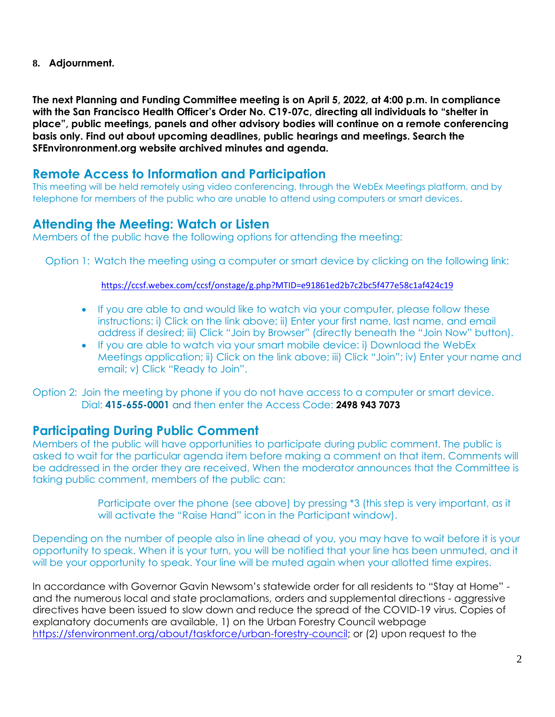**8. Adjournment.**

**The next Planning and Funding Committee meeting is on April 5, 2022, at 4:00 p.m. In compliance with the San Francisco Health Officer's Order No. C19-07c, directing all individuals to "shelter in place", public meetings, panels and other advisory bodies will continue on a remote conferencing basis only. Find out about upcoming deadlines, public hearings and meetings. Search the SFEnvironronment.org website archived minutes and agenda.**

# **Remote Access to Information and Participation**

This meeting will be held remotely using video conferencing, through the WebEx Meetings platform, and by telephone for members of the public who are unable to attend using computers or smart devices.

# **Attending the Meeting: Watch or Listen**

Members of the public have the following options for attending the meeting:

Option 1: Watch the meeting using a computer or smart device by clicking on the following link:

<https://ccsf.webex.com/ccsf/onstage/g.php?MTID=e91861ed2b7c2bc5f477e58c1af424c19>

- If you are able to and would like to watch via your computer, please follow these instructions: i) Click on the link above; ii) Enter your first name, last name, and email address if desired; iii) Click "Join by Browser" (directly beneath the "Join Now" button).
- If you are able to watch via your smart mobile device: i) Download the WebEx Meetings application; ii) Click on the link above; iii) Click "Join"; iv) Enter your name and email; v) Click "Ready to Join".

Option 2: Join the meeting by phone if you do not have access to a computer or smart device. Dial: **415-655-0001** and then enter the Access Code: **2498 943 7073**

# **Participating During Public Comment**

Members of the public will have opportunities to participate during public comment. The public is asked to wait for the particular agenda item before making a comment on that item. Comments will be addressed in the order they are received. When the moderator announces that the Committee is taking public comment, members of the public can:

> Participate over the phone (see above) by pressing \*3 (this step is very important, as it will activate the "Raise Hand" icon in the Participant window).

Depending on the number of people also in line ahead of you, you may have to wait before it is your opportunity to speak. When it is your turn, you will be notified that your line has been unmuted, and it will be your opportunity to speak. Your line will be muted again when your allotted time expires.

In accordance with Governor Gavin Newsom's statewide order for all residents to "Stay at Home" and the numerous local and state proclamations, orders and supplemental directions - aggressive directives have been issued to slow down and reduce the spread of the COVID-19 virus. Copies of explanatory documents are available, 1) on the Urban Forestry Council webpage [https://sfenvironment.org/about/taskforce/urban-forestry-council;](https://sfenvironment.org/about/taskforce/urban-forestry-council) or (2) upon request to the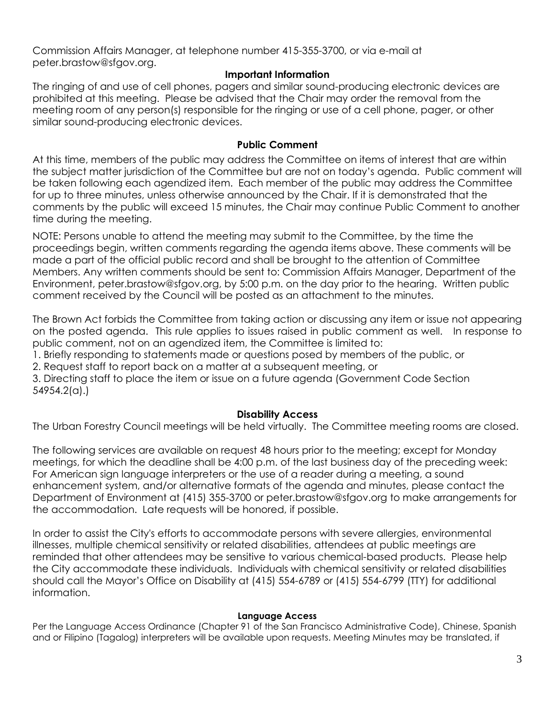Commission Affairs Manager, at telephone number 415-355-3700, or via e-mail at peter.brastow@sfgov.org.

### **Important Information**

The ringing of and use of cell phones, pagers and similar sound-producing electronic devices are prohibited at this meeting. Please be advised that the Chair may order the removal from the meeting room of any person(s) responsible for the ringing or use of a cell phone, pager, or other similar sound-producing electronic devices.

#### **Public Comment**

At this time, members of the public may address the Committee on items of interest that are within the subject matter jurisdiction of the Committee but are not on today's agenda. Public comment will be taken following each agendized item. Each member of the public may address the Committee for up to three minutes, unless otherwise announced by the Chair. If it is demonstrated that the comments by the public will exceed 15 minutes, the Chair may continue Public Comment to another time during the meeting.

NOTE: Persons unable to attend the meeting may submit to the Committee, by the time the proceedings begin, written comments regarding the agenda items above. These comments will be made a part of the official public record and shall be brought to the attention of Committee Members. Any written comments should be sent to: Commission Affairs Manager, Department of the Environment, peter.brastow@sfgov.org, by 5:00 p.m. on the day prior to the hearing. Written public comment received by the Council will be posted as an attachment to the minutes.

The Brown Act forbids the Committee from taking action or discussing any item or issue not appearing on the posted agenda. This rule applies to issues raised in public comment as well. In response to public comment, not on an agendized item, the Committee is limited to:

1. Briefly responding to statements made or questions posed by members of the public, or

2. Request staff to report back on a matter at a subsequent meeting, or

3. Directing staff to place the item or issue on a future agenda (Government Code Section 54954.2(a).)

### **Disability Access**

The Urban Forestry Council meetings will be held virtually. The Committee meeting rooms are closed.

The following services are available on request 48 hours prior to the meeting; except for Monday meetings, for which the deadline shall be 4:00 p.m. of the last business day of the preceding week: For American sign language interpreters or the use of a reader during a meeting, a sound enhancement system, and/or alternative formats of the agenda and minutes, please contact the Department of Environment at (415) 355-3700 or peter.brastow@sfgov.org to make arrangements for the accommodation. Late requests will be honored, if possible.

In order to assist the City's efforts to accommodate persons with severe allergies, environmental illnesses, multiple chemical sensitivity or related disabilities, attendees at public meetings are reminded that other attendees may be sensitive to various chemical-based products. Please help the City accommodate these individuals. Individuals with chemical sensitivity or related disabilities should call the Mayor's Office on Disability at (415) 554-6789 or (415) 554-6799 (TTY) for additional information.

#### **Language Access**

Per the Language Access Ordinance (Chapter 91 of the San Francisco Administrative Code), Chinese, Spanish and or Filipino (Tagalog) interpreters will be available upon requests. Meeting Minutes may be translated, if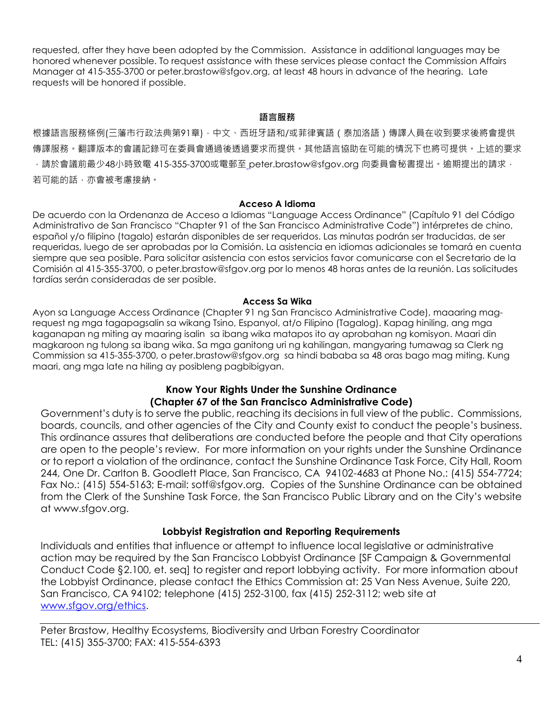requested, after they have been adopted by the Commission. Assistance in additional languages may be honored whenever possible. To request assistance with these services please contact the Commission Affairs Manager at 415-355-3700 or peter.brastow@sfgov.org, at least 48 hours in advance of the hearing. Late requests will be honored if possible.

#### **語言服務**

根據語言服務條例(三藩市行政法典第91章),中文、西班牙語和/或菲律賓語(泰加洛語)傳譯人員在收到要求後將會提供 傳譯服務。翻譯版本的會議記錄可在委員會通過後透過要求而提供。其他語言協助在可能的情況下也將可提供。上述的要求  $\cdot$  請於會議前最少48小時致電 415-355-3700或電郵至 [p](mailto:%20katie.chansler@sfgov.org)eter.brastow@sfgov.org 向委員會秘書提出。逾期提出的請求, 若可能的話,亦會被考慮接納。

#### **Acceso A Idioma**

De acuerdo con la Ordenanza de Acceso a Idiomas "Language Access Ordinance" (Capítulo 91 del Código Administrativo de San Francisco "Chapter 91 of the San Francisco Administrative Code") intérpretes de chino, español y/o filipino (tagalo) estarán disponibles de ser requeridos. Las minutas podrán ser traducidas, de ser requeridas, luego de ser aprobadas por la Comisión. La asistencia en idiomas adicionales se tomará en cuenta siempre que sea posible. Para solicitar asistencia con estos servicios favor comunicarse con el Secretario de la Comisión al 415-355-3700, o peter.brastow@sfgov.org por lo menos 48 horas antes de la reunión. Las solicitudes tardías serán consideradas de ser posible.

#### **Access Sa Wika**

Ayon sa Language Access Ordinance (Chapter 91 ng San Francisco Administrative Code), maaaring magrequest ng mga tagapagsalin sa wikang Tsino, Espanyol, at/o Filipino (Tagalog). Kapag hiniling, ang mga kaganapan ng miting ay maaring isalin sa ibang wika matapos ito ay aprobahan ng komisyon. Maari din magkaroon ng tulong sa ibang wika. Sa mga ganitong uri ng kahilingan, mangyaring tumawag sa Clerk ng Commission sa 415-355-3700, o peter.brastow@sfgov.org sa hindi bababa sa 48 oras bago mag miting. Kung maari, ang mga late na hiling ay posibleng pagbibigyan.

### **Know Your Rights Under the Sunshine Ordinance (Chapter 67 of the San Francisco Administrative Code)**

Government's duty is to serve the public, reaching its decisions in full view of the public. Commissions, boards, councils, and other agencies of the City and County exist to conduct the people's business. This ordinance assures that deliberations are conducted before the people and that City operations are open to the people's review. For more information on your rights under the Sunshine Ordinance or to report a violation of the ordinance, contact the Sunshine Ordinance Task Force, City Hall, Room 244, One Dr. Carlton B. Goodlett Place, San Francisco, CA 94102-4683 at Phone No.: (415) 554-7724; Fax No.: (415) 554-5163; E-mail: sotf@sfgov.org. Copies of the Sunshine Ordinance can be obtained from the Clerk of the Sunshine Task Force, the San Francisco Public Library and on the City's website at www.sfgov.org.

### **Lobbyist Registration and Reporting Requirements**

Individuals and entities that influence or attempt to influence local legislative or administrative action may be required by the San Francisco Lobbyist Ordinance [SF Campaign & Governmental Conduct Code §2.100, et. seq] to register and report lobbying activity. For more information about the Lobbyist Ordinance, please contact the Ethics Commission at: 25 Van Ness Avenue, Suite 220, San Francisco, CA 94102; telephone (415) 252-3100, fax (415) 252-3112; web site at [www.sfgov.org/ethics.](http://www.sfgov.org/ethics)

Peter Brastow, Healthy Ecosystems, Biodiversity and Urban Forestry Coordinator TEL: (415) 355-3700; FAX: 415-554-6393